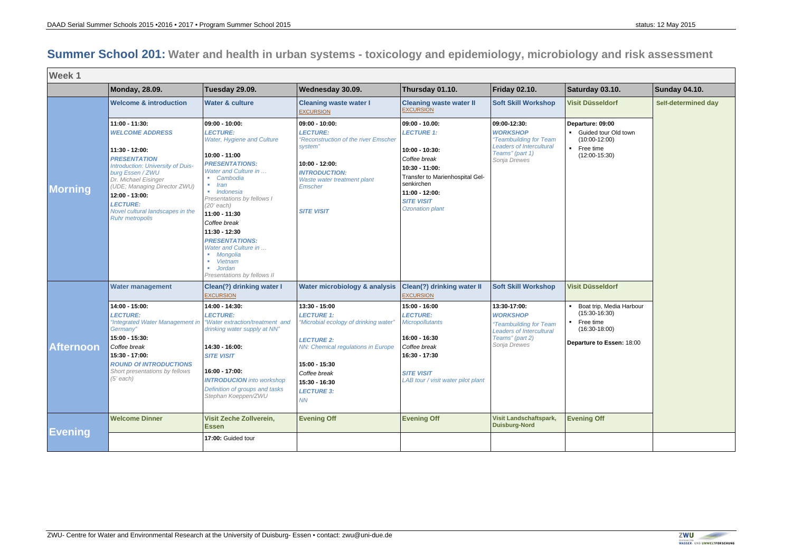## **Summer School 201: Water and health in urban systems - toxicology and epidemiology, microbiology and risk assessment**

| <b>Week1</b>                       |                                                                                                                                                                                                                                                                                                       |                                                                                                                                                                                                                                                                                                                                                                                                                                       |                                                                                                                                                                                                                                                  |                                                                                                                                                                                                            |                                                                                                                                                                  |                                                                                                                                  |                     |  |  |  |
|------------------------------------|-------------------------------------------------------------------------------------------------------------------------------------------------------------------------------------------------------------------------------------------------------------------------------------------------------|---------------------------------------------------------------------------------------------------------------------------------------------------------------------------------------------------------------------------------------------------------------------------------------------------------------------------------------------------------------------------------------------------------------------------------------|--------------------------------------------------------------------------------------------------------------------------------------------------------------------------------------------------------------------------------------------------|------------------------------------------------------------------------------------------------------------------------------------------------------------------------------------------------------------|------------------------------------------------------------------------------------------------------------------------------------------------------------------|----------------------------------------------------------------------------------------------------------------------------------|---------------------|--|--|--|
|                                    | <b>Monday, 28.09.</b>                                                                                                                                                                                                                                                                                 | Tuesday 29.09.                                                                                                                                                                                                                                                                                                                                                                                                                        | Wednesday 30.09.                                                                                                                                                                                                                                 | Thursday 01.10.                                                                                                                                                                                            | Friday 02.10.                                                                                                                                                    | Saturday 03.10.                                                                                                                  | Sunday 04.10.       |  |  |  |
|                                    | <b>Welcome &amp; introduction</b>                                                                                                                                                                                                                                                                     | <b>Water &amp; culture</b>                                                                                                                                                                                                                                                                                                                                                                                                            | <b>Cleaning waste water I</b><br><b>EXCURSION</b>                                                                                                                                                                                                | <b>Cleaning waste water II</b><br><b>EXCURSION</b>                                                                                                                                                         | <b>Soft Skill Workshop</b>                                                                                                                                       | <b>Visit Düsseldorf</b>                                                                                                          | Self-determined day |  |  |  |
| Morning                            | 11:00 - 11:30:<br><b>WELCOME ADDRESS</b><br>11:30 - 12:00:<br><b>PRESENTATION</b><br>Introduction: University of Duis-<br>burg Essen / ZWU<br>Dr. Michael Eisinger<br>(UDE; Managing Director ZWU)<br>12:00 - 13:00:<br><b>LECTURE:</b><br>Novel cultural landscapes in the<br><b>Ruhr metropolis</b> | 09:00 - 10:00:<br><b>LECTURE:</b><br>Water, Hygiene and Culture<br>$10:00 - 11:00$<br><b>PRESENTATIONS:</b><br>Water and Culture in<br>• Cambodia<br>Iran<br>· Indonesia<br>Presentations by fellows I<br>(20' each)<br>$11:00 - 11:30$<br>Coffee break<br>11:30 - 12:30<br><b>PRESENTATIONS:</b><br>Water and Culture in<br>· Mongolia<br><b>Vietnam</b><br>$\mathcal{L}_{\rm{eff}}$<br><b>Jordan</b><br>Presentations by fellows II | 09:00 - 10:00:<br><b>LECTURE:</b><br>"Reconstruction of the river Emscher<br>system"<br>10:00 - 12:00:<br><b>INTRODUCTION:</b><br>Waste water treatment plant<br>Emscher<br><b>SITE VISIT</b>                                                    | $09:00 - 10.00:$<br><b>LECTURE 1:</b><br>$10:00 - 10:30:$<br>Coffee break<br>$10:30 - 11:00:$<br>Transfer to Marienhospital Gel-<br>senkirchen<br>$11:00 - 12:00:$<br><b>SITE VISIT</b><br>Ozonation plant | 09:00-12:30:<br><b>WORKSHOP</b><br>"Teambuilding for Team<br><b>Leaders of Intercultural</b><br>Teams" (part 1)<br>Sonja Drewes                                  | Departure: 09:00<br>• Guided tour Old town<br>$(10:00-12:00)$<br>• Free time<br>$(12:00-15:30)$                                  |                     |  |  |  |
| <b>Afternoon</b><br><b>Evening</b> | <b>Water management</b>                                                                                                                                                                                                                                                                               | Clean(?) drinking water I<br><b>EXCURSION</b>                                                                                                                                                                                                                                                                                                                                                                                         | Water microbiology & analysis                                                                                                                                                                                                                    | <b>Clean(?) drinking water II</b><br><b>EXCURSION</b>                                                                                                                                                      | <b>Soft Skill Workshop</b>                                                                                                                                       | <b>Visit Düsseldorf</b>                                                                                                          |                     |  |  |  |
|                                    | 14:00 - 15:00:<br><b>LECTURE:</b><br>"Integrated Water Management in<br>Germany"<br>15:00 - 15:30:<br>Coffee break<br>15:30 - 17:00:<br><b>ROUND Of INTRODUCTIONS</b><br>Short presentations by fellows<br>(5' each)<br><b>Welcome Dinner</b>                                                         | 14:00 - 14:30:<br><b>LECTURE:</b><br>"Water extraction/treatment and<br>drinking water supply at NN"<br>14:30 - 16:00:<br><b>SITE VISIT</b><br>16:00 - 17:00:<br><b>INTRODUCION</b> into workshop<br>Definition of groups and tasks<br>Stephan Koeppen/ZWU<br><b>Visit Zeche Zollverein,</b>                                                                                                                                          | 13:30 - 15:00<br><b>LECTURE 1:</b><br>"Microbial ecology of drinking water"<br><b>LECTURE 2:</b><br><b>NN: Chemical regulations in Europe</b><br>15:00 - 15:30<br>Coffee break<br>15:30 - 16:30<br><b>LECTURE 3:</b><br>NN<br><b>Evening Off</b> | 15:00 - 16:00<br><b>LECTURE:</b><br><b>Micropollutants</b><br>16:00 - 16:30<br>Coffee break<br>16:30 - 17:30<br><b>SITE VISIT</b><br>LAB tour / visit water pilot plant<br><b>Evening Off</b>              | 13:30-17:00:<br><b>WORKSHOP</b><br>"Teambuilding for Team<br><b>Leaders of Intercultural</b><br>Teams" (part 2)<br>Sonja Drewes<br><b>Visit Landschaftspark,</b> | Boat trip, Media Harbour<br>$(15:30-16:30)$<br>• Free time<br>$(16:30-18:00)$<br>Departure to Essen: 18:00<br><b>Evening Off</b> |                     |  |  |  |
|                                    |                                                                                                                                                                                                                                                                                                       | <b>Essen</b><br>17:00: Guided tour                                                                                                                                                                                                                                                                                                                                                                                                    |                                                                                                                                                                                                                                                  |                                                                                                                                                                                                            | <b>Duisburg-Nord</b>                                                                                                                                             |                                                                                                                                  |                     |  |  |  |
|                                    |                                                                                                                                                                                                                                                                                                       |                                                                                                                                                                                                                                                                                                                                                                                                                                       |                                                                                                                                                                                                                                                  |                                                                                                                                                                                                            |                                                                                                                                                                  |                                                                                                                                  |                     |  |  |  |